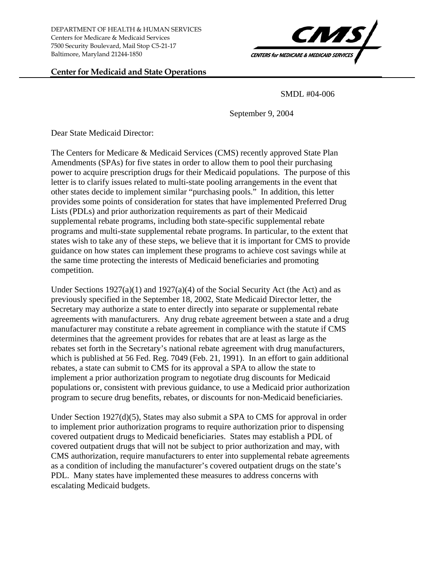DEPARTMENT OF HEALTH & HUMAN SERVICES Centers for Medicare & Medicaid Services 7500 Security Boulevard, Mail Stop C5-21-17 Baltimore, Maryland 21244-1850

## **Center for Medicaid and State Operations**



SMDL #04-006

September 9, 2004

Dear State Medicaid Director:

The Centers for Medicare & Medicaid Services (CMS) recently approved State Plan Amendments (SPAs) for five states in order to allow them to pool their purchasing power to acquire prescription drugs for their Medicaid populations. The purpose of this letter is to clarify issues related to multi-state pooling arrangements in the event that other states decide to implement similar "purchasing pools." In addition, this letter provides some points of consideration for states that have implemented Preferred Drug Lists (PDLs) and prior authorization requirements as part of their Medicaid supplemental rebate programs, including both state-specific supplemental rebate programs and multi-state supplemental rebate programs. In particular, to the extent that states wish to take any of these steps, we believe that it is important for CMS to provide guidance on how states can implement these programs to achieve cost savings while at the same time protecting the interests of Medicaid beneficiaries and promoting competition.

Under Sections  $1927(a)(1)$  and  $1927(a)(4)$  of the Social Security Act (the Act) and as previously specified in the September 18, 2002, State Medicaid Director letter, the Secretary may authorize a state to enter directly into separate or supplemental rebate agreements with manufacturers. Any drug rebate agreement between a state and a drug manufacturer may constitute a rebate agreement in compliance with the statute if CMS determines that the agreement provides for rebates that are at least as large as the rebates set forth in the Secretary's national rebate agreement with drug manufacturers, which is published at 56 Fed. Reg. 7049 (Feb. 21, 1991). In an effort to gain additional rebates, a state can submit to CMS for its approval a SPA to allow the state to implement a prior authorization program to negotiate drug discounts for Medicaid populations or, consistent with previous guidance, to use a Medicaid prior authorization program to secure drug benefits, rebates, or discounts for non-Medicaid beneficiaries.

Under Section 1927(d)(5), States may also submit a SPA to CMS for approval in order to implement prior authorization programs to require authorization prior to dispensing covered outpatient drugs to Medicaid beneficiaries. States may establish a PDL of covered outpatient drugs that will not be subject to prior authorization and may, with CMS authorization, require manufacturers to enter into supplemental rebate agreements as a condition of including the manufacturer's covered outpatient drugs on the state's PDL. Many states have implemented these measures to address concerns with escalating Medicaid budgets.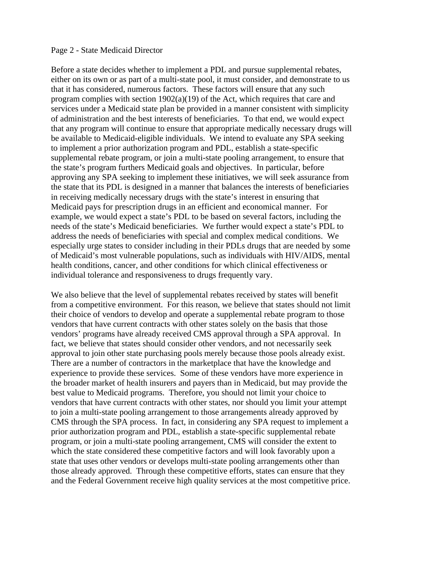## Page 2 - State Medicaid Director

Before a state decides whether to implement a PDL and pursue supplemental rebates, either on its own or as part of a multi-state pool, it must consider, and demonstrate to us that it has considered, numerous factors. These factors will ensure that any such program complies with section  $1902(a)(19)$  of the Act, which requires that care and services under a Medicaid state plan be provided in a manner consistent with simplicity of administration and the best interests of beneficiaries. To that end, we would expect that any program will continue to ensure that appropriate medically necessary drugs will be available to Medicaid-eligible individuals. We intend to evaluate any SPA seeking to implement a prior authorization program and PDL, establish a state-specific supplemental rebate program, or join a multi-state pooling arrangement, to ensure that the state's program furthers Medicaid goals and objectives. In particular, before approving any SPA seeking to implement these initiatives, we will seek assurance from the state that its PDL is designed in a manner that balances the interests of beneficiaries in receiving medically necessary drugs with the state's interest in ensuring that Medicaid pays for prescription drugs in an efficient and economical manner. For example, we would expect a state's PDL to be based on several factors, including the needs of the state's Medicaid beneficiaries. We further would expect a state's PDL to address the needs of beneficiaries with special and complex medical conditions. We especially urge states to consider including in their PDLs drugs that are needed by some of Medicaid's most vulnerable populations, such as individuals with HIV/AIDS, mental health conditions, cancer, and other conditions for which clinical effectiveness or individual tolerance and responsiveness to drugs frequently vary.

We also believe that the level of supplemental rebates received by states will benefit from a competitive environment. For this reason, we believe that states should not limit their choice of vendors to develop and operate a supplemental rebate program to those vendors that have current contracts with other states solely on the basis that those vendors' programs have already received CMS approval through a SPA approval. In fact, we believe that states should consider other vendors, and not necessarily seek approval to join other state purchasing pools merely because those pools already exist. There are a number of contractors in the marketplace that have the knowledge and experience to provide these services. Some of these vendors have more experience in the broader market of health insurers and payers than in Medicaid, but may provide the best value to Medicaid programs. Therefore, you should not limit your choice to vendors that have current contracts with other states, nor should you limit your attempt to join a multi-state pooling arrangement to those arrangements already approved by CMS through the SPA process. In fact, in considering any SPA request to implement a prior authorization program and PDL, establish a state-specific supplemental rebate program, or join a multi-state pooling arrangement, CMS will consider the extent to which the state considered these competitive factors and will look favorably upon a state that uses other vendors or develops multi-state pooling arrangements other than those already approved. Through these competitive efforts, states can ensure that they and the Federal Government receive high quality services at the most competitive price.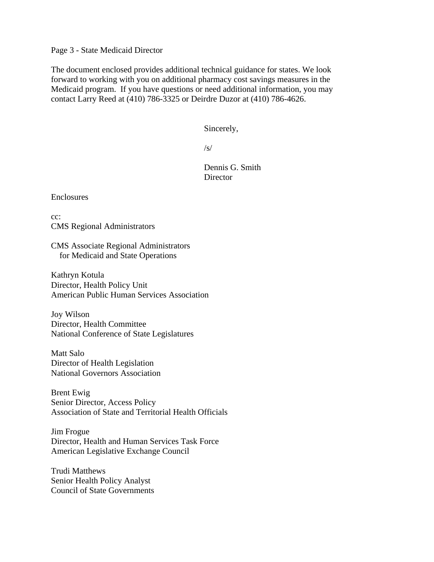Page 3 - State Medicaid Director

The document enclosed provides additional technical guidance for states. We look forward to working with you on additional pharmacy cost savings measures in the Medicaid program. If you have questions or need additional information, you may contact Larry Reed at (410) 786-3325 or Deirdre Duzor at (410) 786-4626.

Sincerely,

 $\sqrt{s}$ /

 Dennis G. Smith **Director** 

Enclosures

cc: CMS Regional Administrators

CMS Associate Regional Administrators for Medicaid and State Operations

Kathryn Kotula Director, Health Policy Unit American Public Human Services Association

Joy Wilson Director, Health Committee National Conference of State Legislatures

Matt Salo Director of Health Legislation National Governors Association

Brent Ewig Senior Director, Access Policy Association of State and Territorial Health Officials

Jim Frogue Director, Health and Human Services Task Force American Legislative Exchange Council

Trudi Matthews Senior Health Policy Analyst Council of State Governments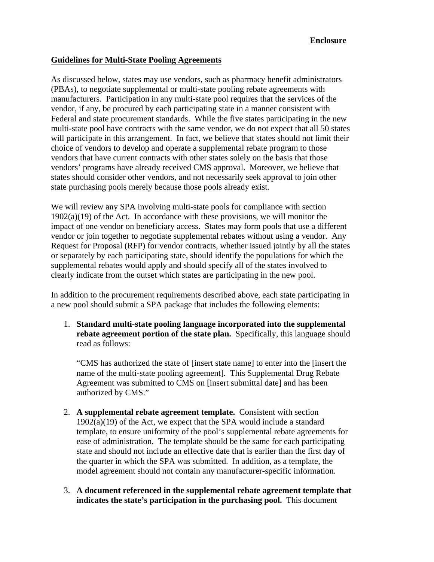## **Guidelines for Multi-State Pooling Agreements**

As discussed below, states may use vendors, such as pharmacy benefit administrators (PBAs), to negotiate supplemental or multi-state pooling rebate agreements with manufacturers. Participation in any multi-state pool requires that the services of the vendor, if any, be procured by each participating state in a manner consistent with Federal and state procurement standards. While the five states participating in the new multi-state pool have contracts with the same vendor, we do not expect that all 50 states will participate in this arrangement. In fact, we believe that states should not limit their choice of vendors to develop and operate a supplemental rebate program to those vendors that have current contracts with other states solely on the basis that those vendors' programs have already received CMS approval. Moreover, we believe that states should consider other vendors, and not necessarily seek approval to join other state purchasing pools merely because those pools already exist.

We will review any SPA involving multi-state pools for compliance with section  $1902(a)(19)$  of the Act. In accordance with these provisions, we will monitor the impact of one vendor on beneficiary access. States may form pools that use a different vendor or join together to negotiate supplemental rebates without using a vendor. Any Request for Proposal (RFP) for vendor contracts, whether issued jointly by all the states or separately by each participating state, should identify the populations for which the supplemental rebates would apply and should specify all of the states involved to clearly indicate from the outset which states are participating in the new pool.

In addition to the procurement requirements described above, each state participating in a new pool should submit a SPA package that includes the following elements:

1. **Standard multi-state pooling language incorporated into the supplemental rebate agreement portion of the state plan.** Specifically, this language should read as follows:

"CMS has authorized the state of [insert state name] to enter into the [insert the name of the multi-state pooling agreement]. This Supplemental Drug Rebate Agreement was submitted to CMS on [insert submittal date] and has been authorized by CMS."

- 2. **A supplemental rebate agreement template.** Consistent with section 1902(a)(19) of the Act, we expect that the SPA would include a standard template, to ensure uniformity of the pool's supplemental rebate agreements for ease of administration. The template should be the same for each participating state and should not include an effective date that is earlier than the first day of the quarter in which the SPA was submitted. In addition, as a template, the model agreement should not contain any manufacturer-specific information.
- 3. **A document referenced in the supplemental rebate agreement template that indicates the state's participation in the purchasing pool.** This document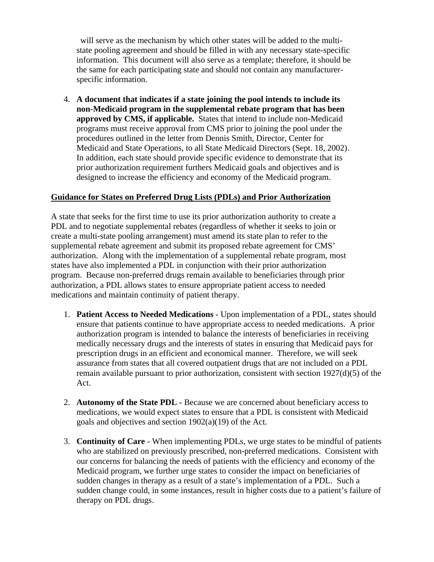will serve as the mechanism by which other states will be added to the multistate pooling agreement and should be filled in with any necessary state-specific information. This document will also serve as a template; therefore, it should be the same for each participating state and should not contain any manufacturerspecific information.

4. **A document that indicates if a state joining the pool intends to include its non-Medicaid program in the supplemental rebate program that has been approved by CMS, if applicable.** States that intend to include non-Medicaid programs must receive approval from CMS prior to joining the pool under the procedures outlined in the letter from Dennis Smith, Director, Center for Medicaid and State Operations, to all State Medicaid Directors (Sept. 18, 2002). In addition, each state should provide specific evidence to demonstrate that its prior authorization requirement furthers Medicaid goals and objectives and is designed to increase the efficiency and economy of the Medicaid program.

## **Guidance for States on Preferred Drug Lists (PDLs) and Prior Authorization**

A state that seeks for the first time to use its prior authorization authority to create a PDL and to negotiate supplemental rebates (regardless of whether it seeks to join or create a multi-state pooling arrangement) must amend its state plan to refer to the supplemental rebate agreement and submit its proposed rebate agreement for CMS' authorization. Along with the implementation of a supplemental rebate program, most states have also implemented a PDL in conjunction with their prior authorization program. Because non-preferred drugs remain available to beneficiaries through prior authorization, a PDL allows states to ensure appropriate patient access to needed medications and maintain continuity of patient therapy.

- 1. **Patient Access to Needed Medications** Upon implementation of a PDL, states should ensure that patients continue to have appropriate access to needed medications. A prior authorization program is intended to balance the interests of beneficiaries in receiving medically necessary drugs and the interests of states in ensuring that Medicaid pays for prescription drugs in an efficient and economical manner. Therefore, we will seek assurance from states that all covered outpatient drugs that are not included on a PDL remain available pursuant to prior authorization, consistent with section 1927(d)(5) of the Act.
- 2. **Autonomy of the State PDL -** Because we are concerned about beneficiary access to medications, we would expect states to ensure that a PDL is consistent with Medicaid goals and objectives and section 1902(a)(19) of the Act.
- 3. **Continuity of Care** When implementing PDLs, we urge states to be mindful of patients who are stabilized on previously prescribed, non-preferred medications. Consistent with our concerns for balancing the needs of patients with the efficiency and economy of the Medicaid program, we further urge states to consider the impact on beneficiaries of sudden changes in therapy as a result of a state's implementation of a PDL. Such a sudden change could, in some instances, result in higher costs due to a patient's failure of therapy on PDL drugs.